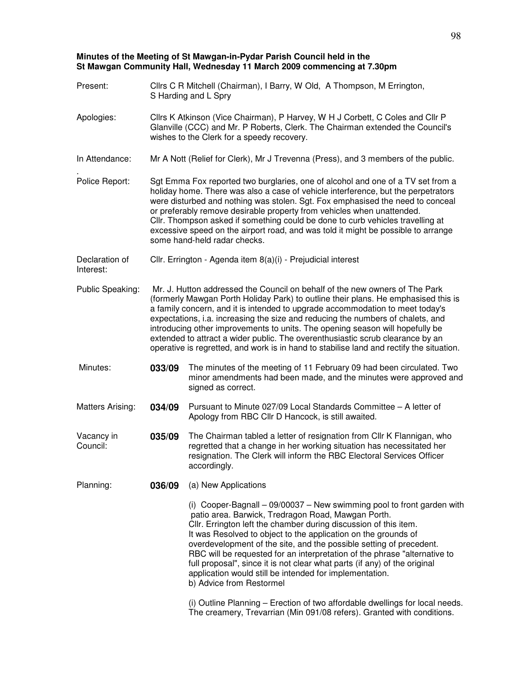## **Minutes of the Meeting of St Mawgan-in-Pydar Parish Council held in the St Mawgan Community Hall, Wednesday 11 March 2009 commencing at 7.30pm**

| Present:                    | Cllrs C R Mitchell (Chairman), I Barry, W Old, A Thompson, M Errington,<br>S Harding and L Spry                                                                                                                                                                                                                                                                                                                                                                                                                                                                                                      |                                                                                                                                                                                                                                                                                                                                                                                                                                                                                                                                                                                                |  |
|-----------------------------|------------------------------------------------------------------------------------------------------------------------------------------------------------------------------------------------------------------------------------------------------------------------------------------------------------------------------------------------------------------------------------------------------------------------------------------------------------------------------------------------------------------------------------------------------------------------------------------------------|------------------------------------------------------------------------------------------------------------------------------------------------------------------------------------------------------------------------------------------------------------------------------------------------------------------------------------------------------------------------------------------------------------------------------------------------------------------------------------------------------------------------------------------------------------------------------------------------|--|
| Apologies:                  | Cllrs K Atkinson (Vice Chairman), P Harvey, W H J Corbett, C Coles and Cllr P<br>Glanville (CCC) and Mr. P Roberts, Clerk. The Chairman extended the Council's<br>wishes to the Clerk for a speedy recovery.                                                                                                                                                                                                                                                                                                                                                                                         |                                                                                                                                                                                                                                                                                                                                                                                                                                                                                                                                                                                                |  |
| In Attendance:              | Mr A Nott (Relief for Clerk), Mr J Trevenna (Press), and 3 members of the public.                                                                                                                                                                                                                                                                                                                                                                                                                                                                                                                    |                                                                                                                                                                                                                                                                                                                                                                                                                                                                                                                                                                                                |  |
| Police Report:              | Sgt Emma Fox reported two burglaries, one of alcohol and one of a TV set from a<br>holiday home. There was also a case of vehicle interference, but the perpetrators<br>were disturbed and nothing was stolen. Sgt. Fox emphasised the need to conceal<br>or preferably remove desirable property from vehicles when unattended.<br>Cllr. Thompson asked if something could be done to curb vehicles travelling at<br>excessive speed on the airport road, and was told it might be possible to arrange<br>some hand-held radar checks.                                                              |                                                                                                                                                                                                                                                                                                                                                                                                                                                                                                                                                                                                |  |
| Declaration of<br>Interest: | Cllr. Errington - Agenda item 8(a)(i) - Prejudicial interest                                                                                                                                                                                                                                                                                                                                                                                                                                                                                                                                         |                                                                                                                                                                                                                                                                                                                                                                                                                                                                                                                                                                                                |  |
| Public Speaking:            | Mr. J. Hutton addressed the Council on behalf of the new owners of The Park<br>(formerly Mawgan Porth Holiday Park) to outline their plans. He emphasised this is<br>a family concern, and it is intended to upgrade accommodation to meet today's<br>expectations, i.a. increasing the size and reducing the numbers of chalets, and<br>introducing other improvements to units. The opening season will hopefully be<br>extended to attract a wider public. The overenthusiastic scrub clearance by an<br>operative is regretted, and work is in hand to stabilise land and rectify the situation. |                                                                                                                                                                                                                                                                                                                                                                                                                                                                                                                                                                                                |  |
| Minutes:                    | 033/09                                                                                                                                                                                                                                                                                                                                                                                                                                                                                                                                                                                               | The minutes of the meeting of 11 February 09 had been circulated. Two<br>minor amendments had been made, and the minutes were approved and<br>signed as correct.                                                                                                                                                                                                                                                                                                                                                                                                                               |  |
| Matters Arising:            | 034/09                                                                                                                                                                                                                                                                                                                                                                                                                                                                                                                                                                                               | Pursuant to Minute 027/09 Local Standards Committee - A letter of<br>Apology from RBC Cllr D Hancock, is still awaited.                                                                                                                                                                                                                                                                                                                                                                                                                                                                        |  |
| Vacancy in<br>Council:      | 035/09                                                                                                                                                                                                                                                                                                                                                                                                                                                                                                                                                                                               | The Chairman tabled a letter of resignation from Cllr K Flannigan, who<br>regretted that a change in her working situation has necessitated her<br>resignation. The Clerk will inform the RBC Electoral Services Officer<br>accordingly.                                                                                                                                                                                                                                                                                                                                                       |  |
| Planning:                   | 036/09                                                                                                                                                                                                                                                                                                                                                                                                                                                                                                                                                                                               | (a) New Applications                                                                                                                                                                                                                                                                                                                                                                                                                                                                                                                                                                           |  |
|                             |                                                                                                                                                                                                                                                                                                                                                                                                                                                                                                                                                                                                      | (i) Cooper-Bagnall $-$ 09/00037 $-$ New swimming pool to front garden with<br>patio area. Barwick, Tredragon Road, Mawgan Porth.<br>Cllr. Errington left the chamber during discussion of this item.<br>It was Resolved to object to the application on the grounds of<br>overdevelopment of the site, and the possible setting of precedent.<br>RBC will be requested for an interpretation of the phrase "alternative to<br>full proposal", since it is not clear what parts (if any) of the original<br>application would still be intended for implementation.<br>b) Advice from Restormel |  |
|                             |                                                                                                                                                                                                                                                                                                                                                                                                                                                                                                                                                                                                      | (i) Outline Planning – Erection of two affordable dwellings for local needs.<br>The creamery, Trevarrian (Min 091/08 refers). Granted with conditions.                                                                                                                                                                                                                                                                                                                                                                                                                                         |  |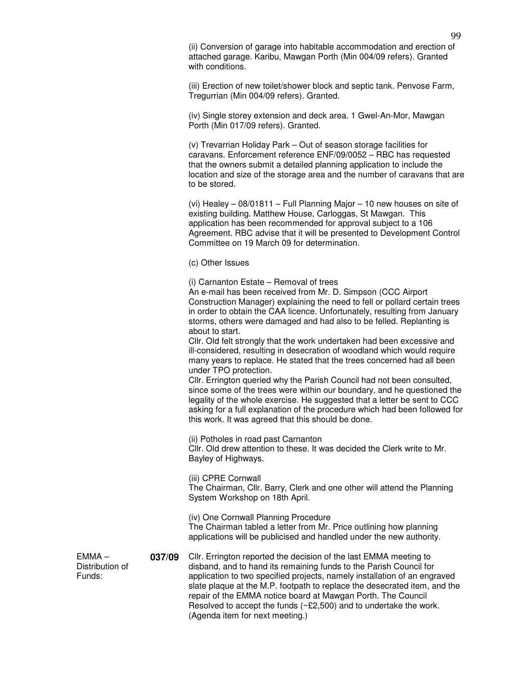(ii) Conversion of garage into habitable accommodation and erection of attached garage. Karibu, Mawgan Porth (Min 004/09 refers). Granted with conditions.

(iii) Erection of new toilet/shower block and septic tank. Penvose Farm, Tregurrian (Min 004/09 refers). Granted.

(iv) Single storey extension and deck area. 1 Gwel-An-Mor, Mawgan Porth (Min 017/09 refers). Granted.

(v) Trevarrian Holiday Park – Out of season storage facilities for caravans. Enforcement reference ENF/09/0052 – RBC has requested that the owners submit a detailed planning application to include the location and size of the storage area and the number of caravans that are to be stored.

(vi) Healey – 08/01811 – Full Planning Major – 10 new houses on site of existing building. Matthew House, Carloggas, St Mawgan. This application has been recommended for approval subject to a 106 Agreement. RBC advise that it will be presented to Development Control Committee on 19 March 09 for determination.

(c) Other Issues

(i) Carnanton Estate – Removal of trees

An e-mail has been received from Mr. D. Simpson (CCC Airport Construction Manager) explaining the need to fell or pollard certain trees in order to obtain the CAA licence. Unfortunately, resulting from January storms, others were damaged and had also to be felled. Replanting is about to start.

Cllr. Old felt strongly that the work undertaken had been excessive and ill-considered, resulting in desecration of woodland which would require many years to replace. He stated that the trees concerned had all been under TPO protection.

Cllr. Errington queried why the Parish Council had not been consulted, since some of the trees were within our boundary, and he questioned the legality of the whole exercise. He suggested that a letter be sent to CCC asking for a full explanation of the procedure which had been followed for this work. It was agreed that this should be done.

(ii) Potholes in road past Carnanton Cllr. Old drew attention to these. It was decided the Clerk write to Mr. Bayley of Highways.

(iii) CPRE Cornwall The Chairman, Cllr. Barry, Clerk and one other will attend the Planning System Workshop on 18th April.

(iv) One Cornwall Planning Procedure The Chairman tabled a letter from Mr. Price outlining how planning applications will be publicised and handled under the new authority.

**037/09** Cllr. Errington reported the decision of the last EMMA meeting to disband, and to hand its remaining funds to the Parish Council for application to two specified projects, namely installation of an engraved slate plaque at the M.P. footpath to replace the desecrated item, and the repair of the EMMA notice board at Mawgan Porth. The Council Resolved to accept the funds (~£2,500) and to undertake the work. (Agenda item for next meeting.)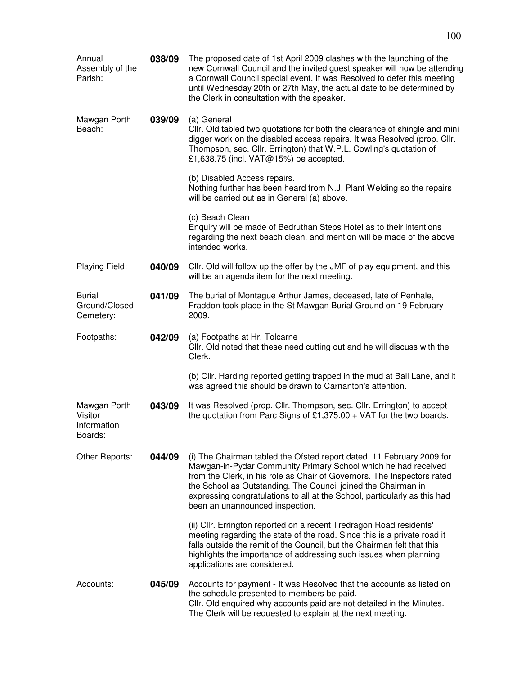| Annual<br>Assembly of the<br>Parish:              | 038/09 | The proposed date of 1st April 2009 clashes with the launching of the<br>new Cornwall Council and the invited guest speaker will now be attending<br>a Cornwall Council special event. It was Resolved to defer this meeting<br>until Wednesday 20th or 27th May, the actual date to be determined by<br>the Clerk in consultation with the speaker.                                               |
|---------------------------------------------------|--------|----------------------------------------------------------------------------------------------------------------------------------------------------------------------------------------------------------------------------------------------------------------------------------------------------------------------------------------------------------------------------------------------------|
| Mawgan Porth<br>Beach:                            | 039/09 | (a) General<br>Cllr. Old tabled two quotations for both the clearance of shingle and mini<br>digger work on the disabled access repairs. It was Resolved (prop. Cllr.<br>Thompson, sec. Cllr. Errington) that W.P.L. Cowling's quotation of<br>£1,638.75 (incl. VAT@15%) be accepted.                                                                                                              |
|                                                   |        | (b) Disabled Access repairs.<br>Nothing further has been heard from N.J. Plant Welding so the repairs<br>will be carried out as in General (a) above.                                                                                                                                                                                                                                              |
|                                                   |        | (c) Beach Clean<br>Enquiry will be made of Bedruthan Steps Hotel as to their intentions<br>regarding the next beach clean, and mention will be made of the above<br>intended works.                                                                                                                                                                                                                |
| Playing Field:                                    | 040/09 | Cllr. Old will follow up the offer by the JMF of play equipment, and this<br>will be an agenda item for the next meeting.                                                                                                                                                                                                                                                                          |
| <b>Burial</b><br>Ground/Closed<br>Cemetery:       | 041/09 | The burial of Montague Arthur James, deceased, late of Penhale,<br>Fraddon took place in the St Mawgan Burial Ground on 19 February<br>2009.                                                                                                                                                                                                                                                       |
| Footpaths:                                        | 042/09 | (a) Footpaths at Hr. Tolcarne<br>Cllr. Old noted that these need cutting out and he will discuss with the<br>Clerk.                                                                                                                                                                                                                                                                                |
|                                                   |        | (b) Cllr. Harding reported getting trapped in the mud at Ball Lane, and it<br>was agreed this should be drawn to Carnanton's attention.                                                                                                                                                                                                                                                            |
| Mawgan Porth<br>Visitor<br>Information<br>Boards: | 043/09 | It was Resolved (prop. Cllr. Thompson, sec. Cllr. Errington) to accept<br>the quotation from Parc Signs of £1,375.00 + VAT for the two boards.                                                                                                                                                                                                                                                     |
| Other Reports:                                    | 044/09 | (i) The Chairman tabled the Ofsted report dated 11 February 2009 for<br>Mawgan-in-Pydar Community Primary School which he had received<br>from the Clerk, in his role as Chair of Governors. The Inspectors rated<br>the School as Outstanding. The Council joined the Chairman in<br>expressing congratulations to all at the School, particularly as this had<br>been an unannounced inspection. |
|                                                   |        | (ii) Cllr. Errington reported on a recent Tredragon Road residents'<br>meeting regarding the state of the road. Since this is a private road it<br>falls outside the remit of the Council, but the Chairman felt that this<br>highlights the importance of addressing such issues when planning<br>applications are considered.                                                                    |
| Accounts:                                         | 045/09 | Accounts for payment - It was Resolved that the accounts as listed on<br>the schedule presented to members be paid.<br>Cllr. Old enquired why accounts paid are not detailed in the Minutes.<br>The Clerk will be requested to explain at the next meeting.                                                                                                                                        |